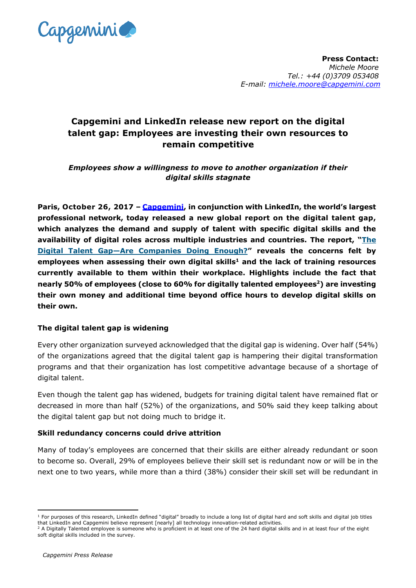

# **Capgemini and LinkedIn release new report on the digital talent gap: Employees are investing their own resources to remain competitive**

*Employees show a willingness to move to another organization if their digital skills stagnate* 

**Paris, October 26, 2017 – [Capgemini,](https://www.capgemini.com/) in conjunction with LinkedIn, the world's largest professional network, today released a new global report on the digital talent gap, which analyzes the demand and supply of talent with specific digital skills and the availability of digital roles across multiple industries and countries. The report, "[The](https://www.capgemini.com/resources/digital-talent-gap?utm_source=pr&utm_medium=referral&utm_content=dt_none_link_report_digital_talent&utm_campaign=disruptdigital_dti)  Digital Talent Gap—[Are Companies Doing Enough?](https://www.capgemini.com/resources/digital-talent-gap?utm_source=pr&utm_medium=referral&utm_content=dt_none_link_report_digital_talent&utm_campaign=disruptdigital_dti)" reveals the concerns felt by employees when assessing their own digital skills<sup>1</sup> and the lack of training resources currently available to them within their workplace. Highlights include the fact that nearly 50% of employees (close to 60% for digitally talented employees<sup>2</sup>) are investing their own money and additional time beyond office hours to develop digital skills on their own.**

## **The digital talent gap is widening**

Every other organization surveyed acknowledged that the digital gap is widening. Over half (54%) of the organizations agreed that the digital talent gap is hampering their digital transformation programs and that their organization has lost competitive advantage because of a shortage of digital talent.

Even though the talent gap has widened, budgets for training digital talent have remained flat or decreased in more than half (52%) of the organizations, and 50% said they keep talking about the digital talent gap but not doing much to bridge it.

## **Skill redundancy concerns could drive attrition**

Many of today's employees are concerned that their skills are either already redundant or soon to become so. Overall, 29% of employees believe their skill set is redundant now or will be in the next one to two years, while more than a third (38%) consider their skill set will be redundant in

-

 $1$  For purposes of this research, LinkedIn defined "digital" broadly to include a long list of digital hard and soft skills and digital job titles that LinkedIn and Capgemini believe represent [nearly] all technology innovation-related activities.

<sup>&</sup>lt;sup>2</sup> A Digitally Talented employee is someone who is proficient in at least one of the 24 hard digital skills and in at least four of the eight soft digital skills included in the survey.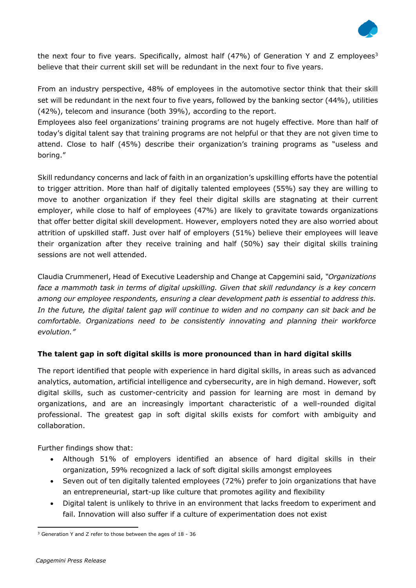

the next four to five years. Specifically, almost half (47%) of Generation Y and Z employees<sup>3</sup> believe that their current skill set will be redundant in the next four to five years.

From an industry perspective, 48% of employees in the automotive sector think that their skill set will be redundant in the next four to five years, followed by the banking sector (44%), utilities (42%), telecom and insurance (both 39%), according to the report.

Employees also feel organizations' training programs are not hugely effective. More than half of today's digital talent say that training programs are not helpful or that they are not given time to attend. Close to half (45%) describe their organization's training programs as "useless and boring."

Skill redundancy concerns and lack of faith in an organization's upskilling efforts have the potential to trigger attrition. More than half of digitally talented employees (55%) say they are willing to move to another organization if they feel their digital skills are stagnating at their current employer, while close to half of employees (47%) are likely to gravitate towards organizations that offer better digital skill development. However, employers noted they are also worried about attrition of upskilled staff. Just over half of employers (51%) believe their employees will leave their organization after they receive training and half (50%) say their digital skills training sessions are not well attended.

Claudia Crummenerl, Head of Executive Leadership and Change at Capgemini said, *"Organizations*  face a mammoth task in terms of digital upskilling. Given that skill redundancy is a key concern *among our employee respondents, ensuring a clear development path is essential to address this. In the future, the digital talent gap will continue to widen and no company can sit back and be comfortable. Organizations need to be consistently innovating and planning their workforce evolution."*

# **The talent gap in soft digital skills is more pronounced than in hard digital skills**

The report identified that people with experience in hard digital skills, in areas such as advanced analytics, automation, artificial intelligence and cybersecurity, are in high demand. However, soft digital skills, such as customer-centricity and passion for learning are most in demand by organizations, and are an increasingly important characteristic of a well-rounded digital professional. The greatest gap in soft digital skills exists for comfort with ambiguity and collaboration.

Further findings show that:

- Although 51% of employers identified an absence of hard digital skills in their organization, 59% recognized a lack of soft digital skills amongst employees
- Seven out of ten digitally talented employees (72%) prefer to join organizations that have an entrepreneurial, start-up like culture that promotes agility and flexibility
- Digital talent is unlikely to thrive in an environment that lacks freedom to experiment and fail. Innovation will also suffer if a culture of experimentation does not exist

<sup>-</sup><sup>3</sup> Generation Y and Z refer to those between the ages of 18 - 36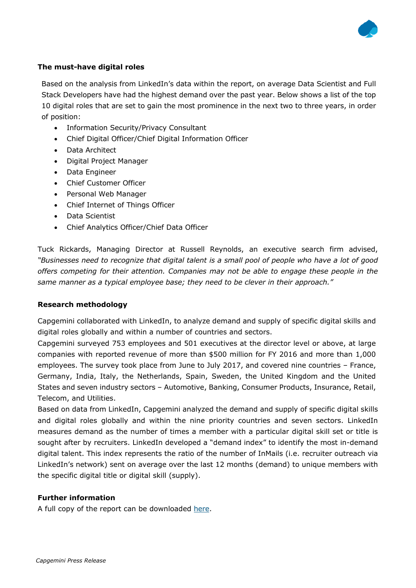

## **The must-have digital roles**

Based on the analysis from LinkedIn's data within the report, on average Data Scientist and Full Stack Developers have had the highest demand over the past year. Below shows a list of the top 10 digital roles that are set to gain the most prominence in the next two to three years, in order of position:

- Information Security/Privacy Consultant
- Chief Digital Officer/Chief Digital Information Officer
- Data Architect
- Digital Project Manager
- Data Engineer
- Chief Customer Officer
- Personal Web Manager
- Chief Internet of Things Officer
- Data Scientist
- Chief Analytics Officer/Chief Data Officer

Tuck Rickards, Managing Director at Russell Reynolds, an executive search firm advised, *"Businesses need to recognize that digital talent is a small pool of people who have a lot of good offers competing for their attention. Companies may not be able to engage these people in the same manner as a typical employee base; they need to be clever in their approach."*

## **Research methodology**

Capgemini collaborated with LinkedIn, to analyze demand and supply of specific digital skills and digital roles globally and within a number of countries and sectors.

Capgemini surveyed 753 employees and 501 executives at the director level or above, at large companies with reported revenue of more than \$500 million for FY 2016 and more than 1,000 employees. The survey took place from June to July 2017, and covered nine countries – France, Germany, India, Italy, the Netherlands, Spain, Sweden, the United Kingdom and the United States and seven industry sectors – Automotive, Banking, Consumer Products, Insurance, Retail, Telecom, and Utilities.

Based on data from LinkedIn, Capgemini analyzed the demand and supply of specific digital skills and digital roles globally and within the nine priority countries and seven sectors. LinkedIn measures demand as the number of times a member with a particular digital skill set or title is sought after by recruiters. LinkedIn developed a "demand index" to identify the most in-demand digital talent. This index represents the ratio of the number of InMails (i.e. recruiter outreach via LinkedIn's network) sent on average over the last 12 months (demand) to unique members with the specific digital title or digital skill (supply).

# **Further information**

A full copy of the report can be downloaded [here.](https://www.capgemini.com/resources/digital-talent-gap?utm_source=pr&utm_medium=referral&utm_content=dt_none_link_report_digital_talent&utm_campaign=disruptdigital_dti)